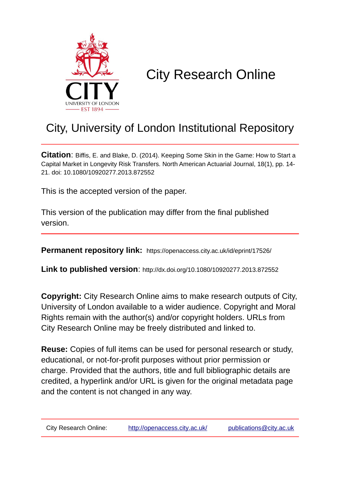

# City Research Online

# City, University of London Institutional Repository

**Citation**: Biffis, E. and Blake, D. (2014). Keeping Some Skin in the Game: How to Start a Capital Market in Longevity Risk Transfers. North American Actuarial Journal, 18(1), pp. 14- 21. doi: 10.1080/10920277.2013.872552

This is the accepted version of the paper.

This version of the publication may differ from the final published version.

**Permanent repository link:** https://openaccess.city.ac.uk/id/eprint/17526/

**Link to published version**: http://dx.doi.org/10.1080/10920277.2013.872552

**Copyright:** City Research Online aims to make research outputs of City, University of London available to a wider audience. Copyright and Moral Rights remain with the author(s) and/or copyright holders. URLs from City Research Online may be freely distributed and linked to.

**Reuse:** Copies of full items can be used for personal research or study, educational, or not-for-profit purposes without prior permission or charge. Provided that the authors, title and full bibliographic details are credited, a hyperlink and/or URL is given for the original metadata page and the content is not changed in any way.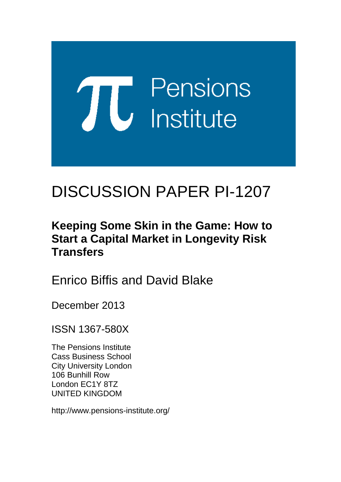# **TU** Pensions<br> **U** Institute

# DISCUSSION PAPER PI-1207

## **Keeping Some Skin in the Game: How to Start a Capital Market in Longevity Risk Transfers**

Enrico Biffis and David Blake

December 2013

ISSN 1367-580X

The Pensions Institute Cass Business School City University London 106 Bunhill Row London EC1Y 8TZ UNITED KINGDOM

http://www.pensions-institute.org/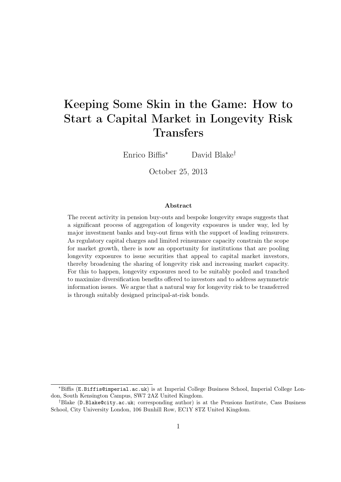### Keeping Some Skin in the Game: How to Start a Capital Market in Longevity Risk **Transfers**

Enrico Biffis<sup>∗</sup> David Blake†

October 25, 2013

#### Abstract

The recent activity in pension buy-outs and bespoke longevity swaps suggests that a significant process of aggregation of longevity exposures is under way, led by major investment banks and buy-out firms with the support of leading reinsurers. As regulatory capital charges and limited reinsurance capacity constrain the scope for market growth, there is now an opportunity for institutions that are pooling longevity exposures to issue securities that appeal to capital market investors, thereby broadening the sharing of longevity risk and increasing market capacity. For this to happen, longevity exposures need to be suitably pooled and tranched to maximize diversification benefits offered to investors and to address asymmetric information issues. We argue that a natural way for longevity risk to be transferred is through suitably designed principal-at-risk bonds.

<sup>∗</sup>Biffis (E.Biffis@imperial.ac.uk) is at Imperial College Business School, Imperial College London, South Kensington Campus, SW7 2AZ United Kingdom.

<sup>†</sup>Blake (D.Blake@city.ac.uk; corresponding author) is at the Pensions Institute, Cass Business School, City University London, 106 Bunhill Row, EC1Y 8TZ United Kingdom.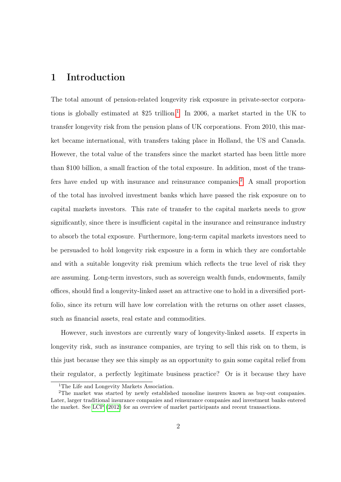#### 1 Introduction

The total amount of pension-related longevity risk exposure in private-sector corporations is globally estimated at  $$25$  trillion.<sup>[1](#page-3-0)</sup> In 2006, a market started in the UK to transfer longevity risk from the pension plans of UK corporations. From 2010, this market became international, with transfers taking place in Holland, the US and Canada. However, the total value of the transfers since the market started has been little more than \$100 billion, a small fraction of the total exposure. In addition, most of the trans-fers have ended up with insurance and reinsurance companies.<sup>[2](#page-3-1)</sup> A small proportion of the total has involved investment banks which have passed the risk exposure on to capital markets investors. This rate of transfer to the capital markets needs to grow significantly, since there is insufficient capital in the insurance and reinsurance industry to absorb the total exposure. Furthermore, long-term capital markets investors need to be persuaded to hold longevity risk exposure in a form in which they are comfortable and with a suitable longevity risk premium which reflects the true level of risk they are assuming. Long-term investors, such as sovereign wealth funds, endowments, family offices, should find a longevity-linked asset an attractive one to hold in a diversified portfolio, since its return will have low correlation with the returns on other asset classes, such as financial assets, real estate and commodities.

However, such investors are currently wary of longevity-linked assets. If experts in longevity risk, such as insurance companies, are trying to sell this risk on to them, is this just because they see this simply as an opportunity to gain some capital relief from their regulator, a perfectly legitimate business practice? Or is it because they have

<span id="page-3-1"></span><span id="page-3-0"></span><sup>&</sup>lt;sup>1</sup>The Life and Longevity Markets Association.

<sup>2</sup>The market was started by newly established monoline insurers known as buy-out companies. Later, larger traditional insurance companies and reinsurance companies and investment banks entered the market. See [LCP](#page-20-0) [\(2012\)](#page-20-0) for an overview of market participants and recent transactions.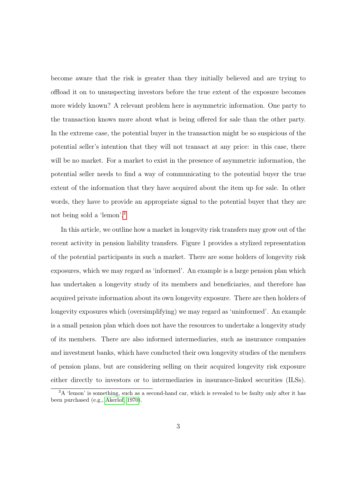become aware that the risk is greater than they initially believed and are trying to offload it on to unsuspecting investors before the true extent of the exposure becomes more widely known? A relevant problem here is asymmetric information. One party to the transaction knows more about what is being offered for sale than the other party. In the extreme case, the potential buyer in the transaction might be so suspicious of the potential seller's intention that they will not transact at any price: in this case, there will be no market. For a market to exist in the presence of asymmetric information, the potential seller needs to find a way of communicating to the potential buyer the true extent of the information that they have acquired about the item up for sale. In other words, they have to provide an appropriate signal to the potential buyer that they are not being sold a 'lemon'.[3](#page-4-0)

In this article, we outline how a market in longevity risk transfers may grow out of the recent activity in pension liability transfers. Figure 1 provides a stylized representation of the potential participants in such a market. There are some holders of longevity risk exposures, which we may regard as 'informed'. An example is a large pension plan which has undertaken a longevity study of its members and beneficiaries, and therefore has acquired private information about its own longevity exposure. There are then holders of longevity exposures which (oversimplifying) we may regard as 'uninformed'. An example is a small pension plan which does not have the resources to undertake a longevity study of its members. There are also informed intermediaries, such as insurance companies and investment banks, which have conducted their own longevity studies of the members of pension plans, but are considering selling on their acquired longevity risk exposure either directly to investors or to intermediaries in insurance-linked securities (ILSs).

<span id="page-4-0"></span><sup>&</sup>lt;sup>3</sup>A 'lemon' is something, such as a second-hand car, which is revealed to be faulty only after it has been purchased (e.g., [Akerlof, 1970\)](#page-19-0).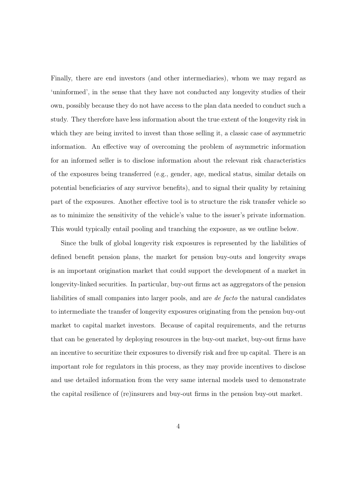Finally, there are end investors (and other intermediaries), whom we may regard as 'uninformed', in the sense that they have not conducted any longevity studies of their own, possibly because they do not have access to the plan data needed to conduct such a study. They therefore have less information about the true extent of the longevity risk in which they are being invited to invest than those selling it, a classic case of asymmetric information. An effective way of overcoming the problem of asymmetric information for an informed seller is to disclose information about the relevant risk characteristics of the exposures being transferred (e.g., gender, age, medical status, similar details on potential beneficiaries of any survivor benefits), and to signal their quality by retaining part of the exposures. Another effective tool is to structure the risk transfer vehicle so as to minimize the sensitivity of the vehicle's value to the issuer's private information. This would typically entail pooling and tranching the exposure, as we outline below.

Since the bulk of global longevity risk exposures is represented by the liabilities of defined benefit pension plans, the market for pension buy-outs and longevity swaps is an important origination market that could support the development of a market in longevity-linked securities. In particular, buy-out firms act as aggregators of the pension liabilities of small companies into larger pools, and are de facto the natural candidates to intermediate the transfer of longevity exposures originating from the pension buy-out market to capital market investors. Because of capital requirements, and the returns that can be generated by deploying resources in the buy-out market, buy-out firms have an incentive to securitize their exposures to diversify risk and free up capital. There is an important role for regulators in this process, as they may provide incentives to disclose and use detailed information from the very same internal models used to demonstrate the capital resilience of (re)insurers and buy-out firms in the pension buy-out market.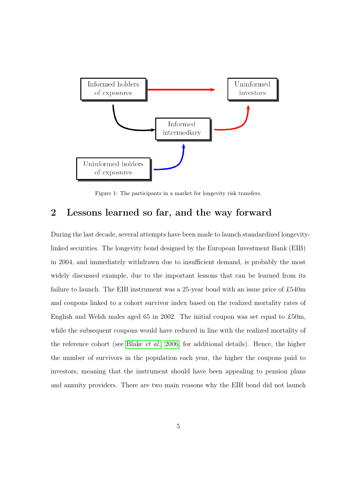

Figure 1: The participants in a market for longevity risk transfers.

#### 2 Lessons learned so far, and the way forward

During the last decade, several attempts have been made to launch standardized longevitylinked securities. The longevity bond designed by the European Investment Bank (EIB) in 2004, and immediately withdrawn due to insufficient demand, is probably the most widely discussed example, due to the important lessons that can be learned from its failure to launch. The EIB instrument was a 25-year bond with an issue price of £540m and coupons linked to a cohort survivor index based on the realized mortality rates of English and Welsh males aged 65 in 2002. The initial coupon was set equal to £50m, while the subsequent coupons would have reduced in line with the realized mortality of the reference cohort (see [Blake](#page-19-1) et al., [2006,](#page-19-1) for additional details). Hence, the higher the number of survivors in the population each year, the higher the coupons paid to investors, meaning that the instrument should have been appealing to pension plans and annuity providers. There are two main reasons why the EIB bond did not launch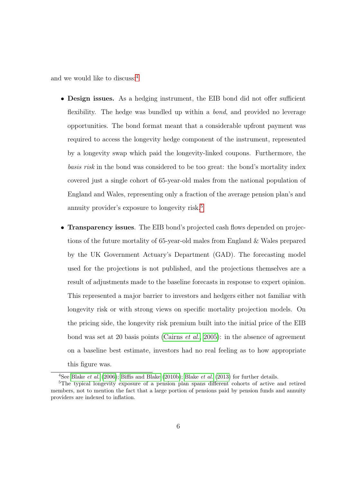and we would like to discuss:[4](#page-7-0)

- Design issues. As a hedging instrument, the EIB bond did not offer sufficient flexibility. The hedge was bundled up within a *bond*, and provided no leverage opportunities. The bond format meant that a considerable upfront payment was required to access the longevity hedge component of the instrument, represented by a longevity swap which paid the longevity-linked coupons. Furthermore, the basis risk in the bond was considered to be too great: the bond's mortality index covered just a single cohort of 65-year-old males from the national population of England and Wales, representing only a fraction of the average pension plan's and annuity provider's exposure to longevity risk.[5](#page-7-1)
- **Transparency issues**. The EIB bond's projected cash flows depended on projections of the future mortality of 65-year-old males from England & Wales prepared by the UK Government Actuary's Department (GAD). The forecasting model used for the projections is not published, and the projections themselves are a result of adjustments made to the baseline forecasts in response to expert opinion. This represented a major barrier to investors and hedgers either not familiar with longevity risk or with strong views on specific mortality projection models. On the pricing side, the longevity risk premium built into the initial price of the EIB bond was set at 20 basis points [\(Cairns](#page-19-2) et al., [2005\)](#page-19-2): in the absence of agreement on a baseline best estimate, investors had no real feeling as to how appropriate this figure was.

<span id="page-7-1"></span><span id="page-7-0"></span><sup>&</sup>lt;sup>4</sup>See [Blake](#page-19-4) *et al.* [\(2006\)](#page-19-1); [Biffis and Blake](#page-19-3) [\(2010b\)](#page-19-3); Blake *et al.* [\(2013\)](#page-19-4) for further details.

<sup>5</sup>The typical longevity exposure of a pension plan spans different cohorts of active and retired members, not to mention the fact that a large portion of pensions paid by pension funds and annuity providers are indexed to inflation.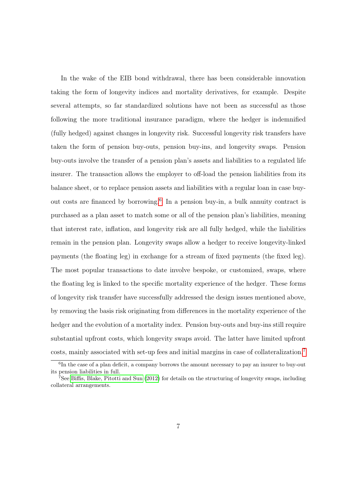In the wake of the EIB bond withdrawal, there has been considerable innovation taking the form of longevity indices and mortality derivatives, for example. Despite several attempts, so far standardized solutions have not been as successful as those following the more traditional insurance paradigm, where the hedger is indemnified (fully hedged) against changes in longevity risk. Successful longevity risk transfers have taken the form of pension buy-outs, pension buy-ins, and longevity swaps. Pension buy-outs involve the transfer of a pension plan's assets and liabilities to a regulated life insurer. The transaction allows the employer to off-load the pension liabilities from its balance sheet, or to replace pension assets and liabilities with a regular loan in case buy-out costs are financed by borrowing.<sup>[6](#page-8-0)</sup> In a pension buy-in, a bulk annuity contract is purchased as a plan asset to match some or all of the pension plan's liabilities, meaning that interest rate, inflation, and longevity risk are all fully hedged, while the liabilities remain in the pension plan. Longevity swaps allow a hedger to receive longevity-linked payments (the floating leg) in exchange for a stream of fixed payments (the fixed leg). The most popular transactions to date involve bespoke, or customized, swaps, where the floating leg is linked to the specific mortality experience of the hedger. These forms of longevity risk transfer have successfully addressed the design issues mentioned above, by removing the basis risk originating from differences in the mortality experience of the hedger and the evolution of a mortality index. Pension buy-outs and buy-ins still require substantial upfront costs, which longevity swaps avoid. The latter have limited upfront costs, mainly associated with set-up fees and initial margins in case of collateralization.[7](#page-8-1)

<span id="page-8-0"></span><sup>&</sup>lt;sup>6</sup>In the case of a plan deficit, a company borrows the amount necessary to pay an insurer to buy-out its pension liabilities in full.

<span id="page-8-1"></span> $7$ See [Biffis, Blake, Pitotti and Sun](#page-19-5) [\(2012\)](#page-19-5) for details on the structuring of longevity swaps, including collateral arrangements.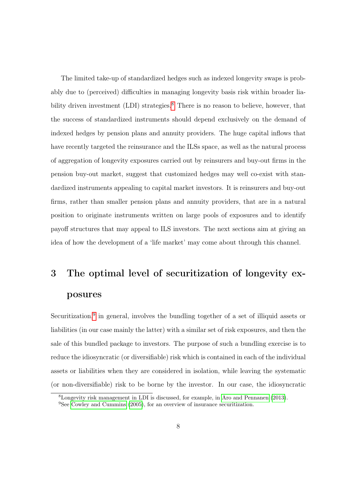The limited take-up of standardized hedges such as indexed longevity swaps is probably due to (perceived) difficulties in managing longevity basis risk within broader lia-bility driven investment (LDI) strategies.<sup>[8](#page-9-0)</sup> There is no reason to believe, however, that the success of standardized instruments should depend exclusively on the demand of indexed hedges by pension plans and annuity providers. The huge capital inflows that have recently targeted the reinsurance and the ILSs space, as well as the natural process of aggregation of longevity exposures carried out by reinsurers and buy-out firms in the pension buy-out market, suggest that customized hedges may well co-exist with standardized instruments appealing to capital market investors. It is reinsurers and buy-out firms, rather than smaller pension plans and annuity providers, that are in a natural position to originate instruments written on large pools of exposures and to identify payoff structures that may appeal to ILS investors. The next sections aim at giving an idea of how the development of a 'life market' may come about through this channel.

# 3 The optimal level of securitization of longevity exposures

Securitization,<sup>[9](#page-9-1)</sup> in general, involves the bundling together of a set of illiquid assets or liabilities (in our case mainly the latter) with a similar set of risk exposures, and then the sale of this bundled package to investors. The purpose of such a bundling exercise is to reduce the idiosyncratic (or diversifiable) risk which is contained in each of the individual assets or liabilities when they are considered in isolation, while leaving the systematic (or non-diversifiable) risk to be borne by the investor. In our case, the idiosyncratic

<span id="page-9-0"></span><sup>8</sup>Longevity risk management in LDI is discussed, for example, in [Aro and Pennanen](#page-19-6) [\(2013\)](#page-19-6).

<span id="page-9-1"></span><sup>&</sup>lt;sup>9</sup>See [Cowley and Cummins](#page-20-1) [\(2005\)](#page-20-1), for an overview of insurance securitization.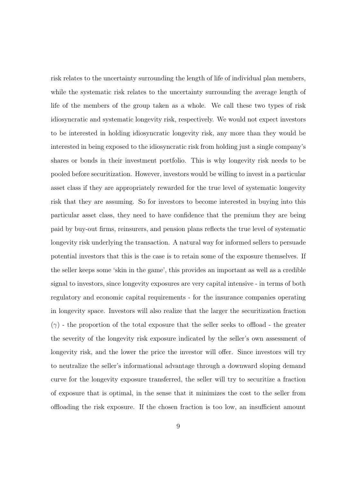risk relates to the uncertainty surrounding the length of life of individual plan members, while the systematic risk relates to the uncertainty surrounding the average length of life of the members of the group taken as a whole. We call these two types of risk idiosyncratic and systematic longevity risk, respectively. We would not expect investors to be interested in holding idiosyncratic longevity risk, any more than they would be interested in being exposed to the idiosyncratic risk from holding just a single company's shares or bonds in their investment portfolio. This is why longevity risk needs to be pooled before securitization. However, investors would be willing to invest in a particular asset class if they are appropriately rewarded for the true level of systematic longevity risk that they are assuming. So for investors to become interested in buying into this particular asset class, they need to have confidence that the premium they are being paid by buy-out firms, reinsurers, and pension plans reflects the true level of systematic longevity risk underlying the transaction. A natural way for informed sellers to persuade potential investors that this is the case is to retain some of the exposure themselves. If the seller keeps some 'skin in the game', this provides an important as well as a credible signal to investors, since longevity exposures are very capital intensive - in terms of both regulatory and economic capital requirements - for the insurance companies operating in longevity space. Investors will also realize that the larger the securitization fraction  $(\gamma)$  - the proportion of the total exposure that the seller seeks to offload - the greater the severity of the longevity risk exposure indicated by the seller's own assessment of longevity risk, and the lower the price the investor will offer. Since investors will try to neutralize the seller's informational advantage through a downward sloping demand curve for the longevity exposure transferred, the seller will try to securitize a fraction of exposure that is optimal, in the sense that it minimizes the cost to the seller from offloading the risk exposure. If the chosen fraction is too low, an insufficient amount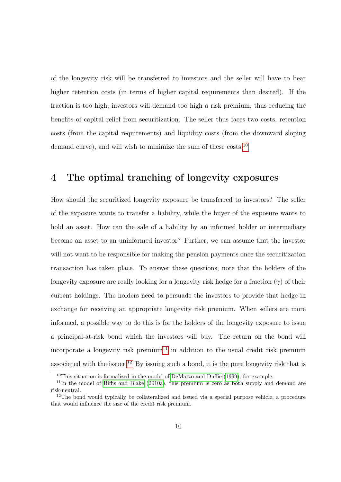of the longevity risk will be transferred to investors and the seller will have to bear higher retention costs (in terms of higher capital requirements than desired). If the fraction is too high, investors will demand too high a risk premium, thus reducing the benefits of capital relief from securitization. The seller thus faces two costs, retention costs (from the capital requirements) and liquidity costs (from the downward sloping demand curve), and will wish to minimize the sum of these costs.<sup>[10](#page-11-0)</sup>

#### 4 The optimal tranching of longevity exposures

How should the securitized longevity exposure be transferred to investors? The seller of the exposure wants to transfer a liability, while the buyer of the exposure wants to hold an asset. How can the sale of a liability by an informed holder or intermediary become an asset to an uninformed investor? Further, we can assume that the investor will not want to be responsible for making the pension payments once the securitization transaction has taken place. To answer these questions, note that the holders of the longevity exposure are really looking for a longevity risk hedge for a fraction  $(\gamma)$  of their current holdings. The holders need to persuade the investors to provide that hedge in exchange for receiving an appropriate longevity risk premium. When sellers are more informed, a possible way to do this is for the holders of the longevity exposure to issue a principal-at-risk bond which the investors will buy. The return on the bond will incorporate a longevity risk premium<sup>[11](#page-11-1)</sup> in addition to the usual credit risk premium associated with the issuer.<sup>[12](#page-11-2)</sup> By issuing such a bond, it is the pure longevity risk that is

<span id="page-11-1"></span><span id="page-11-0"></span><sup>10</sup>This situation is formalized in the model of [DeMarzo and Duffie](#page-20-2) [\(1999\)](#page-20-2), for example.

 $11$ In the model of [Biffis and Blake](#page-19-7) [\(2010a\)](#page-19-7), this premium is zero as both supply and demand are risk-neutral.

<span id="page-11-2"></span><sup>&</sup>lt;sup>12</sup>The bond would typically be collateralized and issued via a special purpose vehicle, a procedure that would influence the size of the credit risk premium.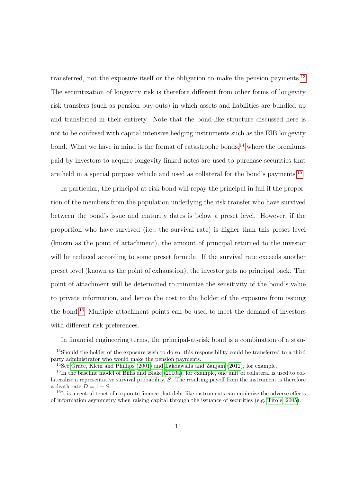transferred, not the exposure itself or the obligation to make the pension payments.[13](#page-12-0) The securitization of longevity risk is therefore different from other forms of longevity risk transfers (such as pension buy-outs) in which assets and liabilities are bundled up and transferred in their entirety. Note that the bond-like structure discussed here is not to be confused with capital intensive hedging instruments such as the EIB longevity bond. What we have in mind is the format of catastrophe bonds,<sup>[14](#page-12-1)</sup> where the premiums paid by investors to acquire longevity-linked notes are used to purchase securities that are held in a special purpose vehicle and used as collateral for the bond's payments.<sup>[15](#page-12-2)</sup>

In particular, the principal-at-risk bond will repay the principal in full if the proportion of the members from the population underlying the risk transfer who have survived between the bond's issue and maturity dates is below a preset level. However, if the proportion who have survived (i.e., the survival rate) is higher than this preset level (known as the point of attachment), the amount of principal returned to the investor will be reduced according to some preset formula. If the survival rate exceeds another preset level (known as the point of exhaustion), the investor gets no principal back. The point of attachment will be determined to minimize the sensitivity of the bond's value to private information, and hence the cost to the holder of the exposure from issuing the bond.[16](#page-12-3) Multiple attachment points can be used to meet the demand of investors with different risk preferences.

<span id="page-12-0"></span>In financial engineering terms, the principal-at-risk bond is a combination of a stan-

<sup>&</sup>lt;sup>13</sup>Should the holder of the exposure wish to do so, this responsibility could be transferred to a third party administrator who would make the pension payments.

<span id="page-12-2"></span><span id="page-12-1"></span><sup>14</sup>See [Grace, Klein and Phillips](#page-20-3) [\(2001\)](#page-20-3) and [Lakdawalla and Zanjani](#page-20-4) [\(2012\)](#page-20-4), for example.

<sup>15</sup>In the baseline model of [Biffis and Blake](#page-19-7) [\(2010a\)](#page-19-7), for example, one unit of collateral is used to collateralize a representative survival probability, S. The resulting payoff from the instrument is therefore a death rate  $D = 1 - S$ .

<span id="page-12-3"></span> $16$ It is a central tenet of corporate finance that debt-like instruments can minimize the adverse effects of information asymmetry when raising capital through the issuance of securities (e.g. [Tirole, 2005\)](#page-20-5).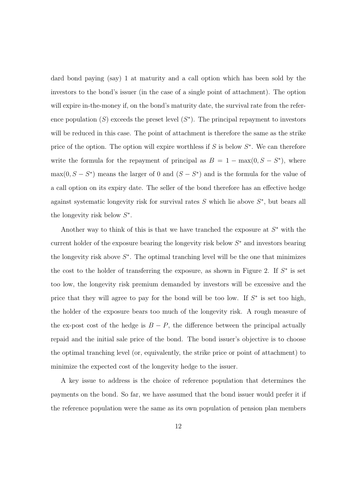dard bond paying (say) 1 at maturity and a call option which has been sold by the investors to the bond's issuer (in the case of a single point of attachment). The option will expire in-the-money if, on the bond's maturity date, the survival rate from the reference population  $(S)$  exceeds the preset level  $(S^*)$ . The principal repayment to investors will be reduced in this case. The point of attachment is therefore the same as the strike price of the option. The option will expire worthless if  $S$  is below  $S^*$ . We can therefore write the formula for the repayment of principal as  $B = 1 - \max(0, S - S^*)$ , where  $\max(0, S - S^*)$  means the larger of 0 and  $(S - S^*)$  and is the formula for the value of a call option on its expiry date. The seller of the bond therefore has an effective hedge against systematic longevity risk for survival rates  $S$  which lie above  $S^*$ , but bears all the longevity risk below  $S^*$ .

Another way to think of this is that we have tranched the exposure at  $S^*$  with the current holder of the exposure bearing the longevity risk below  $S^*$  and investors bearing the longevity risk above  $S^*$ . The optimal tranching level will be the one that minimizes the cost to the holder of transferring the exposure, as shown in Figure 2. If  $S^*$  is set too low, the longevity risk premium demanded by investors will be excessive and the price that they will agree to pay for the bond will be too low. If  $S^*$  is set too high, the holder of the exposure bears too much of the longevity risk. A rough measure of the ex-post cost of the hedge is  $B - P$ , the difference between the principal actually repaid and the initial sale price of the bond. The bond issuer's objective is to choose the optimal tranching level (or, equivalently, the strike price or point of attachment) to minimize the expected cost of the longevity hedge to the issuer.

A key issue to address is the choice of reference population that determines the payments on the bond. So far, we have assumed that the bond issuer would prefer it if the reference population were the same as its own population of pension plan members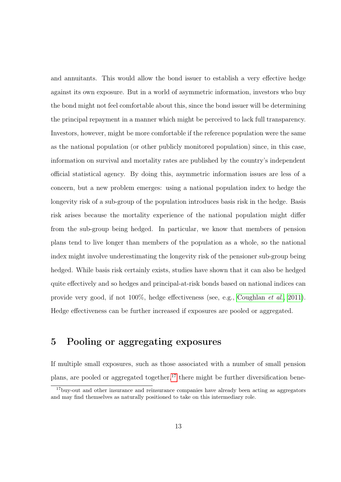and annuitants. This would allow the bond issuer to establish a very effective hedge against its own exposure. But in a world of asymmetric information, investors who buy the bond might not feel comfortable about this, since the bond issuer will be determining the principal repayment in a manner which might be perceived to lack full transparency. Investors, however, might be more comfortable if the reference population were the same as the national population (or other publicly monitored population) since, in this case, information on survival and mortality rates are published by the country's independent official statistical agency. By doing this, asymmetric information issues are less of a concern, but a new problem emerges: using a national population index to hedge the longevity risk of a sub-group of the population introduces basis risk in the hedge. Basis risk arises because the mortality experience of the national population might differ from the sub-group being hedged. In particular, we know that members of pension plans tend to live longer than members of the population as a whole, so the national index might involve underestimating the longevity risk of the pensioner sub-group being hedged. While basis risk certainly exists, studies have shown that it can also be hedged quite effectively and so hedges and principal-at-risk bonds based on national indices can provide very good, if not 100%, hedge effectiveness (see, e.g., [Coughlan](#page-19-8) et al., [2011\)](#page-19-8). Hedge effectiveness can be further increased if exposures are pooled or aggregated.

#### 5 Pooling or aggregating exposures

If multiple small exposures, such as those associated with a number of small pension plans, are pooled or aggregated together,<sup>[17](#page-14-0)</sup> there might be further diversification bene-

<span id="page-14-0"></span><sup>&</sup>lt;sup>17</sup>buy-out and other insurance and reinsurance companies have already been acting as aggregators and may find themselves as naturally positioned to take on this intermediary role.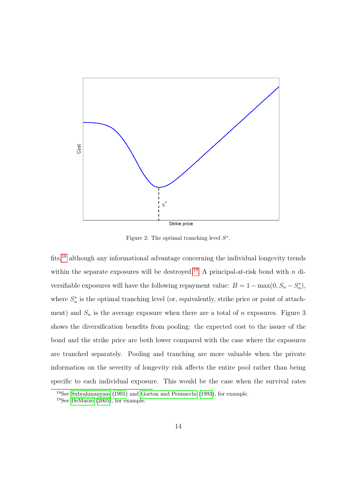

Figure 2: The optimal tranching level  $S^*$ .

fits,<sup>[18](#page-15-0)</sup> although any informational advantage concerning the individual longevity trends within the separate exposures will be destroyed.<sup>[19](#page-15-1)</sup> A principal-at-risk bond with n diversifiable exposures will have the following repayment value:  $B = 1 - \max(0, S_n - S_n^*)$ , where  $S_n^*$  is the optimal tranching level (or, equivalently, strike price or point of attachment) and  $S_n$  is the average exposure when there are a total of n exposures. Figure 3 shows the diversification benefits from pooling: the expected cost to the issuer of the bond and the strike price are both lower compared with the case where the exposures are tranched separately. Pooling and tranching are more valuable when the private information on the severity of longevity risk affects the entire pool rather than being specific to each individual exposure. This would be the case when the survival rates

<span id="page-15-0"></span><sup>18</sup>See [Subrahmanyam](#page-20-6) [\(1991\)](#page-20-6) and [Gorton and Pennacchi](#page-20-7) [\(1993\)](#page-20-7), for example.

<span id="page-15-1"></span><sup>19</sup>See [DeMarzo](#page-20-8) [\(2005\)](#page-20-8), for example.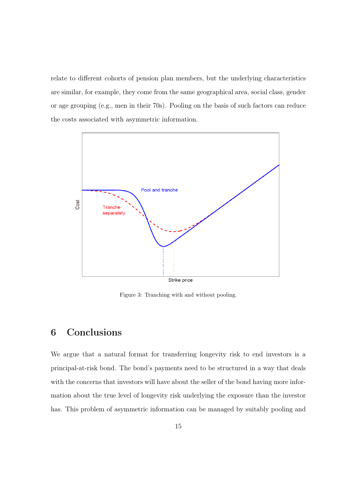relate to different cohorts of pension plan members, but the underlying characteristics are similar, for example, they come from the same geographical area, social class, gender or age grouping (e.g., men in their 70s). Pooling on the basis of such factors can reduce the costs associated with asymmetric information.



Figure 3: Tranching with and without pooling.

#### 6 Conclusions

We argue that a natural format for transferring longevity risk to end investors is a principal-at-risk bond. The bond's payments need to be structured in a way that deals with the concerns that investors will have about the seller of the bond having more information about the true level of longevity risk underlying the exposure than the investor has. This problem of asymmetric information can be managed by suitably pooling and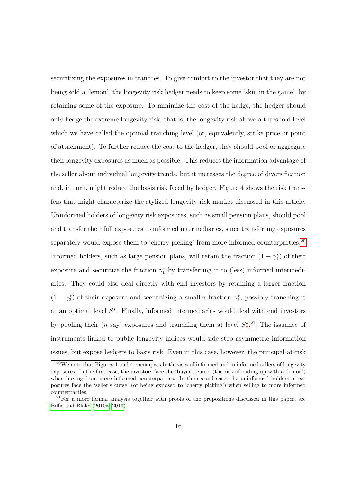securitizing the exposures in tranches. To give comfort to the investor that they are not being sold a 'lemon', the longevity risk hedger needs to keep some 'skin in the game', by retaining some of the exposure. To minimize the cost of the hedge, the hedger should only hedge the extreme longevity risk, that is, the longevity risk above a threshold level which we have called the optimal tranching level (or, equivalently, strike price or point of attachment). To further reduce the cost to the hedger, they should pool or aggregate their longevity exposures as much as possible. This reduces the information advantage of the seller about individual longevity trends, but it increases the degree of diversification and, in turn, might reduce the basis risk faced by hedger. Figure 4 shows the risk transfers that might characterize the stylized longevity risk market discussed in this article. Uninformed holders of longevity risk exposures, such as small pension plans, should pool and transfer their full exposures to informed intermediaries, since transferring exposures separately would expose them to 'cherry picking' from more informed counterparties.<sup>[20](#page-17-0)</sup> Informed holders, such as large pension plans, will retain the fraction  $(1 - \gamma_1^*)$  of their exposure and securitize the fraction  $\gamma_1^*$  by transferring it to (less) informed intermediaries. They could also deal directly with end investors by retaining a larger fraction  $(1 - \gamma_2^*)$  of their exposure and securitizing a smaller fraction  $\gamma_2^*$ , possibly tranching it at an optimal level  $S^*$ . Finally, informed intermediaries would deal with end investors by pooling their (*n* say) exposures and tranching them at level  $S_n^*$ <sup>[21](#page-17-1)</sup>. The issuance of instruments linked to public longevity indices would side step asymmetric information issues, but expose hedgers to basis risk. Even in this case, however, the principal-at-risk

<span id="page-17-0"></span> $20$ We note that Figures 1 and 4 encompass both cases of informed and uninformed sellers of longevity exposures. In the first case, the investors face the 'buyer's curse' (the risk of ending up with a 'lemon') when buying from more informed counterparties. In the second case, the uninformed holders of exposures face the 'seller's curse' (of being exposed to 'cherry picking') when selling to more informed counterparties.

<span id="page-17-1"></span><sup>&</sup>lt;sup>21</sup>For a more formal analysis together with proofs of the propositions discussed in this paper, see [Biffis and Blake](#page-19-7) [\(2010a,](#page-19-7) [2013\)](#page-19-9).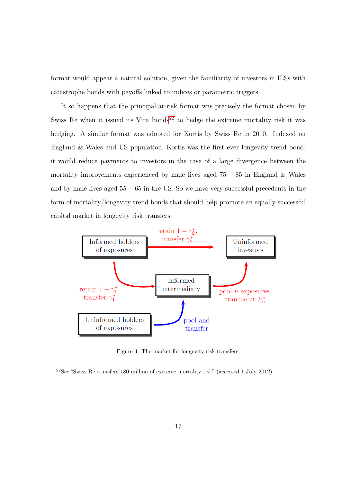format would appear a natural solution, given the familiarity of investors in ILSs with catastrophe bonds with payoffs linked to indices or parametric triggers.

It so happens that the principal-at-risk format was precisely the format chosen by Swiss Re when it issued its Vita bonds<sup>[22](#page-18-0)</sup> to hedge the extreme mortality risk it was hedging. A similar format was adopted for Kortis by Swiss Re in 2010. Indexed on England & Wales and US population, Kortis was the first ever longevity trend bond: it would reduce payments to investors in the case of a large divergence between the mortality improvements experienced by male lives aged  $75 - 85$  in England & Wales and by male lives aged  $55 - 65$  in the US. So we have very successful precedents in the form of mortality/longevity trend bonds that should help promote an equally successful capital market in longevity risk transfers.



Figure 4: The market for longevity risk transfers.

<span id="page-18-0"></span> $22$ See "Swiss Re transfers 180 million of extreme mortality risk" (accessed 1 July 2012).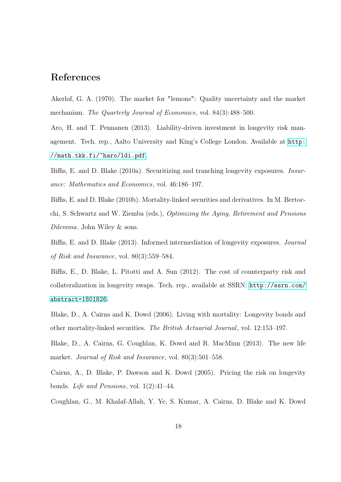#### References

<span id="page-19-0"></span>Akerlof, G. A. (1970). The market for "lemons": Quality uncertainty and the market mechanism. The Quarterly Journal of Economics, vol. 84(3):488–500.

<span id="page-19-6"></span>Aro, H. and T. Pennanen (2013). Liability-driven investment in longevity risk management. Tech. rep., Aalto University and King's College London. Available at [http:](http://math.tkk.fi/~haro/ldi.pdf) [//math.tkk.fi/~haro/ldi.pdf](http://math.tkk.fi/~haro/ldi.pdf).

<span id="page-19-7"></span>Biffis, E. and D. Blake (2010a). Securitizing and tranching longevity exposures. Insurance: Mathematics and Economics, vol. 46:186–197.

<span id="page-19-3"></span>Biffis, E. and D. Blake (2010b). Mortality-linked securities and derivatives. In M. Bertocchi, S. Schwartz and W. Ziemba (eds.), Optimizing the Aging, Retirement and Pensions Dilemma. John Wiley & sons.

<span id="page-19-9"></span>Biffis, E. and D. Blake (2013). Informed intermediation of longevity exposures. Journal of Risk and Insurance, vol. 80(3):559–584.

<span id="page-19-5"></span>Biffis, E., D. Blake, L. Pitotti and A. Sun (2012). The cost of counterparty risk and collateralization in longevity swaps. Tech. rep., available at SSRN: [http://ssrn.com/](http://ssrn.com/abstract=1801826) [abstract=1801826](http://ssrn.com/abstract=1801826).

<span id="page-19-1"></span>Blake, D., A. Cairns and K. Dowd (2006). Living with mortality: Longevity bonds and other mortality-linked securities. The British Actuarial Journal, vol. 12:153–197.

<span id="page-19-4"></span>Blake, D., A. Cairns, G. Coughlan, K. Dowd and R. MacMinn (2013). The new life market. Journal of Risk and Insurance, vol. 80(3):501–558.

<span id="page-19-2"></span>Cairns, A., D. Blake, P. Dawson and K. Dowd (2005). Pricing the risk on longevity bonds. Life and Pensions, vol. 1(2):41–44.

<span id="page-19-8"></span>Coughlan, G., M. Khalaf-Allah, Y. Ye, S. Kumar, A. Cairns, D. Blake and K. Dowd